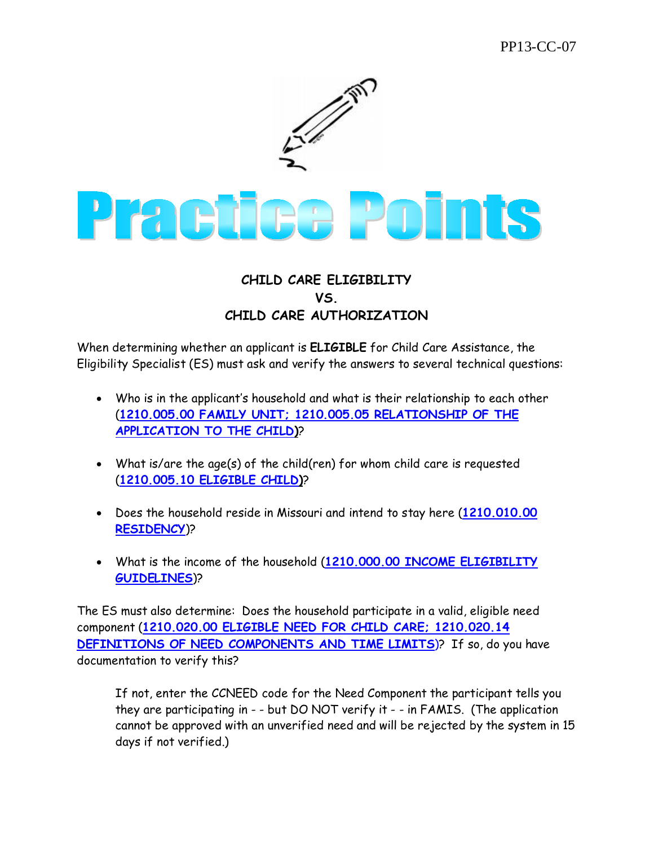

## **CHILD CARE ELIGIBILITY VS. CHILD CARE AUTHORIZATION**

When determining whether an applicant is **ELIGIBLE** for Child Care Assistance, the Eligibility Specialist (ES) must ask and verify the answers to several technical questions:

- Who is in the applicant's household and what is their relationship to each other (**1210.005.00 FAMILY UNIT; 1210.005.05 RELATIONSHIP OF THE APPLICATION TO THE CHILD)**?
- What is/are the age(s) of the child(ren) for whom child care is requested (**1210.005.10 ELIGIBLE CHILD)**?
- Does the household reside in Missouri and intend to stay here (**1210.010.00 RESIDENCY**)?
- What is the income of the household (**1210.000.00 INCOME ELIGIBILITY GUIDELINES**)?

The ES must also determine: Does the household participate in a valid, eligible need component (**1210.020.00 ELIGIBLE NEED FOR CHILD CARE; 1210.020.14 DEFINITIONS OF NEED COMPONENTS AND TIME LIMITS**)? If so, do you have documentation to verify this?

If not, enter the CCNEED code for the Need Component the participant tells you they are participating in - - but DO NOT verify it - - in FAMIS. (The application cannot be approved with an unverified need and will be rejected by the system in 15 days if not verified.)